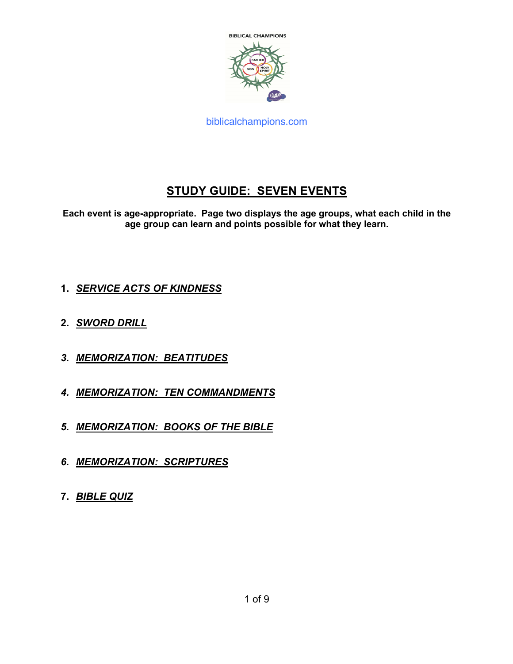

# **STUDY GUIDE: SEVEN EVENTS**

**Each event is age-appropriate. Page two displays the age groups, what each child in the age group can learn and points possible for what they learn.**

- **1.** *SERVICE ACTS OF KINDNESS*
- **2.** *SWORD DRILL*
- *3. MEMORIZATION: BEATITUDES*
- *4. MEMORIZATION: TEN COMMANDMENTS*
- *5. MEMORIZATION: BOOKS OF THE BIBLE*
- *6. MEMORIZATION: SCRIPTURES*
- **7.** *BIBLE QUIZ*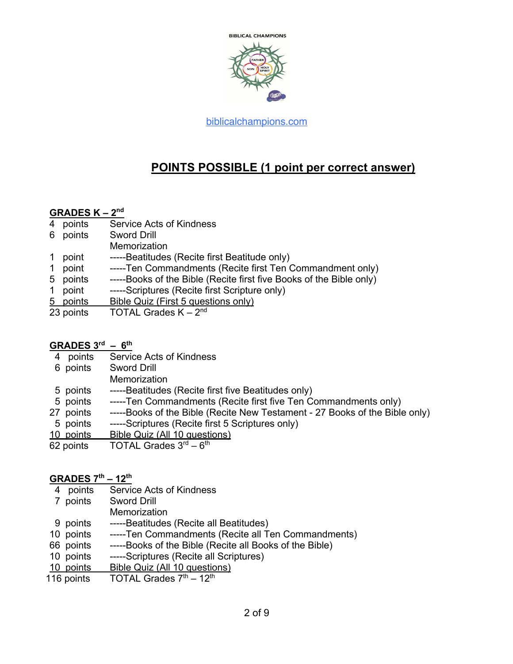

# **POINTS POSSIBLE (1 point per correct answer)**

#### **GRADES K – 2nd**

- 4 points Service Acts of Kindness
- 6 points Sword Drill
- **Memorization**
- 1 point -----Beatitudes (Recite first Beatitude only)
- 1 point -----Ten Commandments (Recite first Ten Commandment only)
- 5 points -----Books of the Bible (Recite first five Books of the Bible only)
- 1 point -----Scriptures (Recite first Scripture only)
- 5 points Bible Quiz (First 5 questions only)
- 23 points  $\overline{A}$  TOTAL Grades K  $2^{nd}$

#### **GRADES 3rd – 6th**

- 4 points Service Acts of Kindness
- 6 points Sword Drill
	- **Memorization**
- 5 points -----Beatitudes (Recite first five Beatitudes only)
- 5 points -----Ten Commandments (Recite first five Ten Commandments only)
- 27 points -----Books of the Bible (Recite New Testament 27 Books of the Bible only)
- 5 points -----Scriptures (Recite first 5 Scriptures only)
- 10 points Bible Quiz (All 10 questions)
- 62 points  $\overline{TOTAL}$  Grades  $3^{rd} 6^{th}$

#### **GRADES 7th – 12th**

- 4 points Service Acts of Kindness
- 7 points Sword Drill
	- **Memorization**
- 9 points -----Beatitudes (Recite all Beatitudes)
- 10 points -----Ten Commandments (Recite all Ten Commandments)
- 66 points -----Books of the Bible (Recite all Books of the Bible)
- 10 points -----Scriptures (Recite all Scriptures)
- 10 points Bible Quiz (All 10 questions)
- 116 points  $TOTAL$  Grades  $7<sup>th</sup> 12<sup>th</sup>$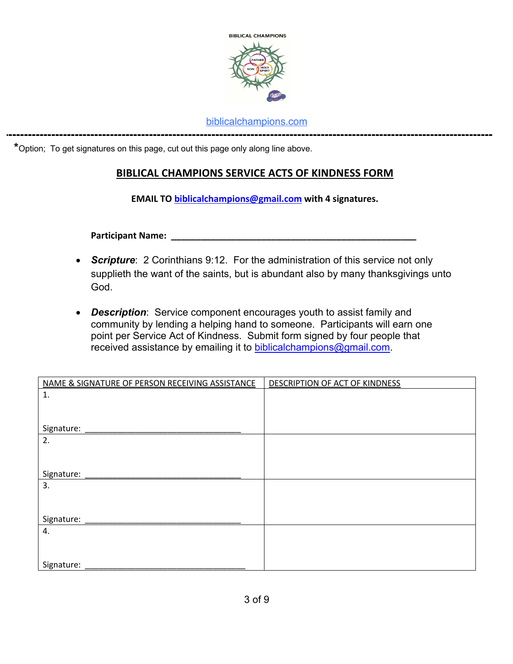

**-----------------------------------------------------------------------------------------------------------------------------**

 **\***Option; To get signatures on this page, cut out this page only along line above.

### **BIBLICAL CHAMPIONS SERVICE ACTS OF KINDNESS FORM**

**EMAIL TO biblicalchampions@gmail.com with 4 signatures.**

**Participant Name:** 

- *Scripture*: 2 Corinthians 9:12. For the administration of this service not only supplieth the want of the saints, but is abundant also by many thanksgivings unto God.
- *Description*: Service component encourages youth to assist family and community by lending a helping hand to someone. Participants will earn one point per Service Act of Kindness. Submit form signed by four people that received assistance by emailing it to biblicalchampions@gmail.com.

| NAME & SIGNATURE OF PERSON RECEIVING ASSISTANCE | <b>DESCRIPTION OF ACT OF KINDNESS</b> |
|-------------------------------------------------|---------------------------------------|
| 1.                                              |                                       |
|                                                 |                                       |
|                                                 |                                       |
| Signature:                                      |                                       |
| 2.                                              |                                       |
|                                                 |                                       |
|                                                 |                                       |
| Signature:                                      |                                       |
| 3.                                              |                                       |
|                                                 |                                       |
|                                                 |                                       |
| Signature:                                      |                                       |
| 4.                                              |                                       |
|                                                 |                                       |
|                                                 |                                       |
| Signature:                                      |                                       |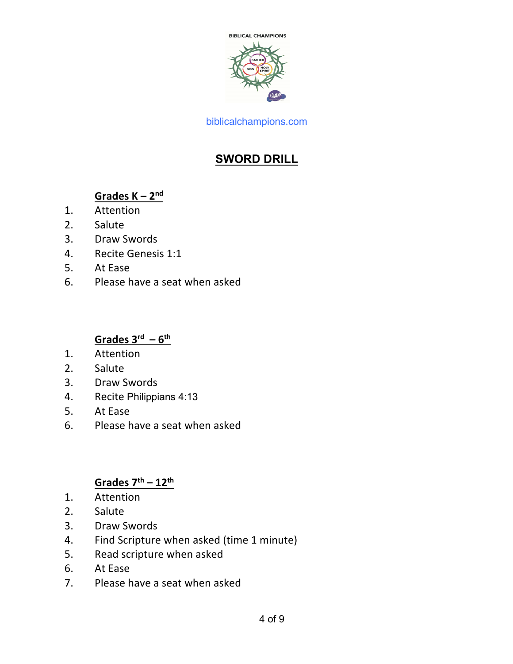

# **SWORD DRILL**

## **Grades K – 2nd**

- 1. Attention
- 2. Salute
- 3. Draw Swords
- 4. Recite Genesis 1:1
- 5. At Ease
- 6. Please have a seat when asked

# **Grades 3rd – 6th**

- 1. Attention
- 2. Salute
- 3. Draw Swords
- 4. Recite Philippians 4:13
- 5. At Ease
- 6. Please have a seat when asked

### **Grades 7th – 12th**

- 1. Attention
- 2. Salute
- 3. Draw Swords
- 4. Find Scripture when asked (time 1 minute)
- 5. Read scripture when asked
- 6. At Ease
- 7. Please have a seat when asked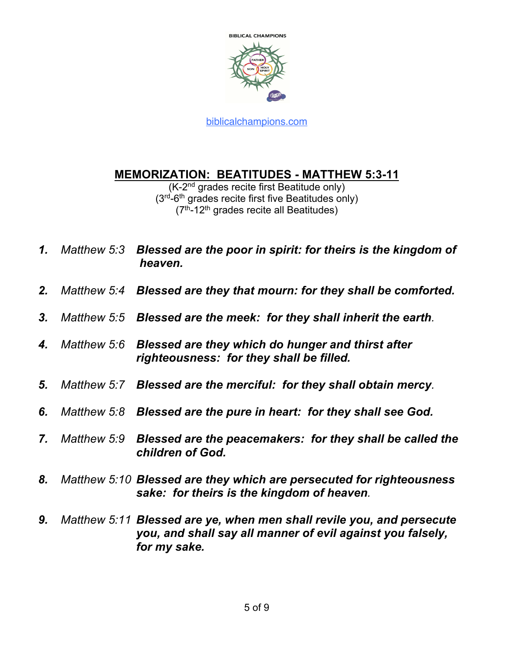

## **MEMORIZATION: BEATITUDES - MATTHEW 5:3-11**

(K-2nd grades recite first Beatitude only)  $(3<sup>rd</sup>-6<sup>th</sup>$  grades recite first five Beatitudes only)  $(7<sup>th</sup> - 12<sup>th</sup>$  grades recite all Beatitudes)

- *1. Matthew 5:3 Blessed are the poor in spirit: for theirs is the kingdom of heaven.*
- *2. Matthew 5:4 Blessed are they that mourn: for they shall be comforted.*
- *3. Matthew 5:5 Blessed are the meek: for they shall inherit the earth.*
- *4. Matthew 5:6 Blessed are they which do hunger and thirst after righteousness: for they shall be filled.*
- *5. Matthew 5:7 Blessed are the merciful: for they shall obtain mercy.*
- *6. Matthew 5:8 Blessed are the pure in heart: for they shall see God.*
- *7. Matthew 5:9 Blessed are the peacemakers: for they shall be called the children of God.*
- *8. Matthew 5:10 Blessed are they which are persecuted for righteousness sake: for theirs is the kingdom of heaven.*
- *9. Matthew 5:11 Blessed are ye, when men shall revile you, and persecute you, and shall say all manner of evil against you falsely, for my sake.*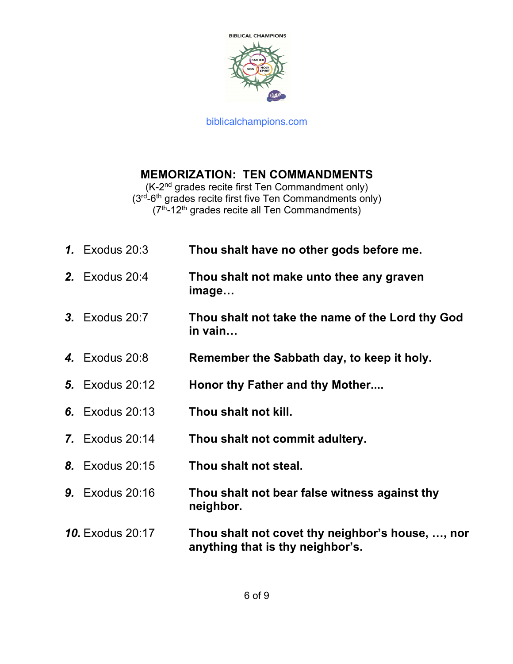

## **MEMORIZATION: TEN COMMANDMENTS**

(K-2nd grades recite first Ten Commandment only) (3<sup>rd</sup>-6<sup>th</sup> grades recite first five Ten Commandments only)  $(7<sup>th</sup> - 12<sup>th</sup>$  grades recite all Ten Commandments)

| <b>1.</b> Exodus 20:3   | Thou shalt have no other gods before me.                                             |  |
|-------------------------|--------------------------------------------------------------------------------------|--|
| <b>2.</b> Exodus 20:4   | Thou shalt not make unto thee any graven<br>image                                    |  |
| <b>3.</b> Exodus 20:7   | Thou shalt not take the name of the Lord thy God<br>in vain                          |  |
| <b>4.</b> Exodus 20:8   | Remember the Sabbath day, to keep it holy.                                           |  |
| <b>5.</b> Exodus 20:12  | Honor thy Father and thy Mother                                                      |  |
| <b>6.</b> Exodus 20:13  | Thou shalt not kill.                                                                 |  |
| <b>7.</b> Exodus 20:14  | Thou shalt not commit adultery.                                                      |  |
| <b>8.</b> Exodus 20:15  | Thou shalt not steal.                                                                |  |
| <b>9.</b> Exodus 20:16  | Thou shalt not bear false witness against thy<br>neighbor.                           |  |
| <b>10.</b> Exodus 20:17 | Thou shalt not covet thy neighbor's house, , nor<br>anything that is thy neighbor's. |  |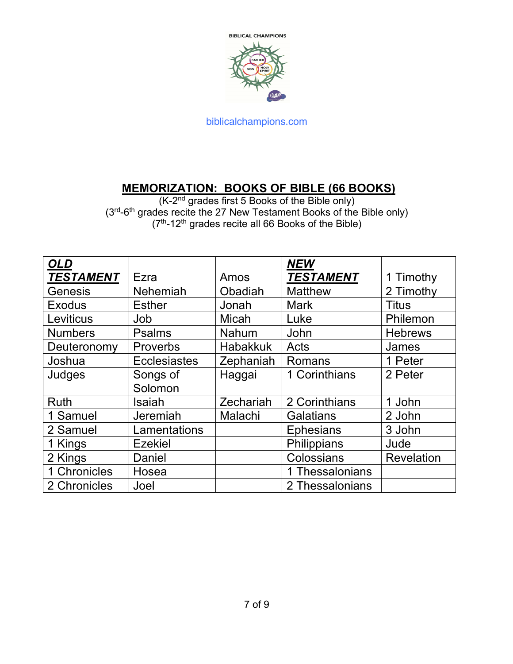

# **MEMORIZATION: BOOKS OF BIBLE (66 BOOKS)**

(K-2<sup>nd</sup> grades first 5 Books of the Bible only)  $(3<sup>rd</sup>-6<sup>th</sup>$  grades recite the 27 New Testament Books of the Bible only)  $(7<sup>th</sup> - 12<sup>th</sup>$  grades recite all 66 Books of the Bible)

| <b>OLD</b>       |                     |                 | <b>NEW</b>       |                |
|------------------|---------------------|-----------------|------------------|----------------|
| <b>TESTAMENT</b> | Ezra                | Amos            | <b>TESTAMENT</b> | 1 Timothy      |
| Genesis          | <b>Nehemiah</b>     | Obadiah         | <b>Matthew</b>   | 2 Timothy      |
| <b>Exodus</b>    | <b>Esther</b>       | Jonah           | <b>Mark</b>      | <b>Titus</b>   |
| Leviticus        | Job                 | Micah           | Luke             | Philemon       |
| <b>Numbers</b>   | <b>Psalms</b>       | Nahum           | John             | <b>Hebrews</b> |
| Deuteronomy      | Proverbs            | <b>Habakkuk</b> | Acts             | James          |
| Joshua           | <b>Ecclesiastes</b> | Zephaniah       | Romans           | 1 Peter        |
| Judges           | Songs of            | Haggai          | 1 Corinthians    | 2 Peter        |
|                  | Solomon             |                 |                  |                |
| <b>Ruth</b>      | Isaiah              | Zechariah       | 2 Corinthians    | 1 John         |
| 1 Samuel         | Jeremiah            | Malachi         | <b>Galatians</b> | 2 John         |
| 2 Samuel         | Lamentations        |                 | <b>Ephesians</b> | 3 John         |
| 1 Kings          | <b>Ezekiel</b>      |                 | Philippians      | Jude           |
| 2 Kings          | Daniel              |                 | Colossians       | Revelation     |
| 1 Chronicles     | Hosea               |                 | 1 Thessalonians  |                |
| 2 Chronicles     | Joel                |                 | 2 Thessalonians  |                |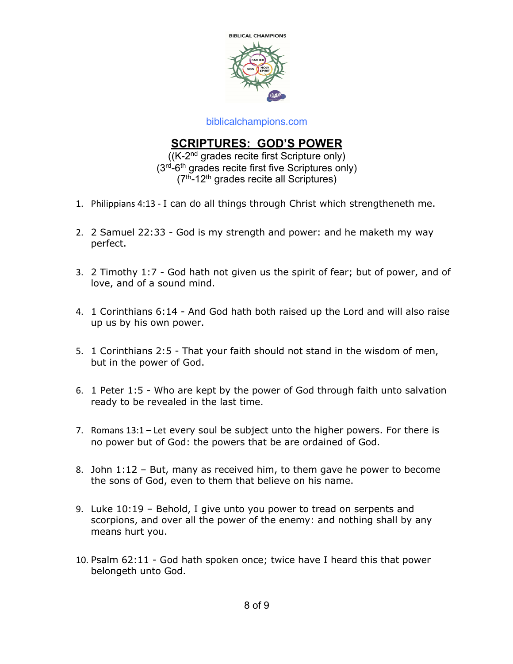

## **SCRIPTURES: GOD'S POWER**

((K-2nd grades recite first Scripture only) (3rd-6th grades recite first five Scriptures only)  $(7<sup>th</sup>-12<sup>th</sup>$  grades recite all Scriptures)

- 1. Philippians 4:13 I can do all things through Christ which strengtheneth me.
- 2. 2 Samuel 22:33 God is my strength and power: and he maketh my way perfect.
- 3. 2 Timothy 1:7 God hath not given us the spirit of fear; but of power, and of love, and of a sound mind.
- 4. 1 Corinthians 6:14 And God hath both raised up the Lord and will also raise up us by his own power.
- 5. 1 Corinthians 2:5 That your faith should not stand in the wisdom of men, but in the power of God.
- 6. 1 Peter 1:5 Who are kept by the power of God through faith unto salvation ready to be revealed in the last time.
- 7. Romans 13:1 Let every soul be subject unto the higher powers. For there is no power but of God: the powers that be are ordained of God.
- 8. John 1:12 But, many as received him, to them gave he power to become the sons of God, even to them that believe on his name.
- 9. Luke 10:19 Behold, I give unto you power to tread on serpents and scorpions, and over all the power of the enemy: and nothing shall by any means hurt you.
- 10. Psalm 62:11 God hath spoken once; twice have I heard this that power belongeth unto God.